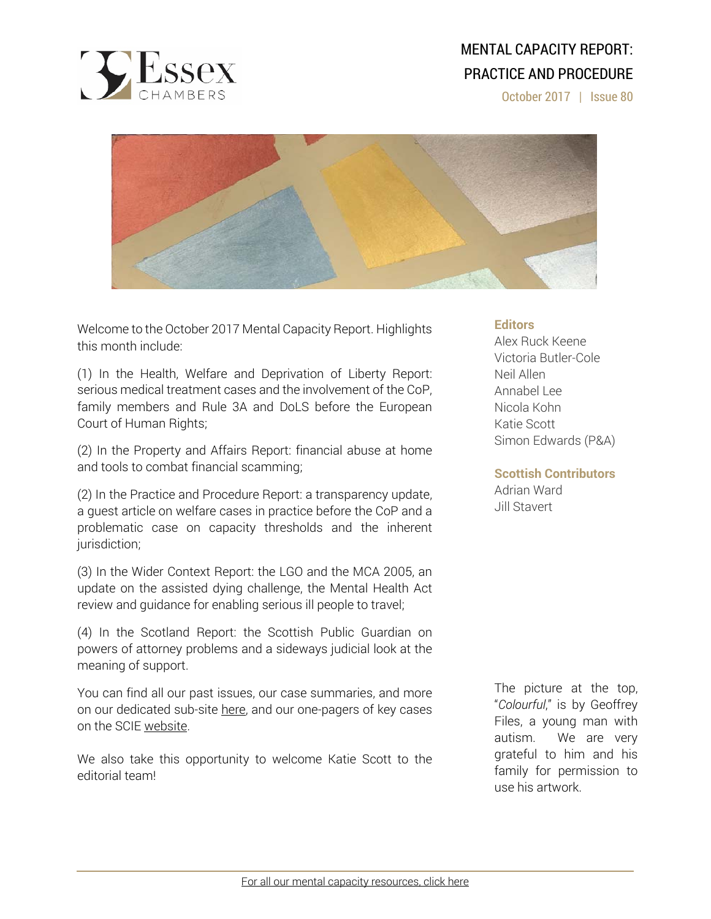

# MENTAL CAPACITY REPORT: PRACTICE AND PROCEDURE

October 2017 | Issue 80



Welcome to the October 2017 Mental Capacity Report. Highlights this month include:

(1) In the Health, Welfare and Deprivation of Liberty Report: serious medical treatment cases and the involvement of the CoP, family members and Rule 3A and DoLS before the European Court of Human Rights;

(2) In the Property and Affairs Report: financial abuse at home and tools to combat financial scamming;

(2) In the Practice and Procedure Report: a transparency update, a guest article on welfare cases in practice before the CoP and a problematic case on capacity thresholds and the inherent jurisdiction;

(3) In the Wider Context Report: the LGO and the MCA 2005, an update on the assisted dying challenge, the Mental Health Act review and guidance for enabling serious ill people to travel;

(4) In the Scotland Report: the Scottish Public Guardian on powers of attorney problems and a sideways judicial look at the meaning of support.

You can find all our past issues, our case summaries, and more on our dedicated sub-site here, and our one-pagers of key cases on the SCIE website.

We also take this opportunity to welcome Katie Scott to the editorial team!

# **Editors**

Alex Ruck Keene Victoria Butler-Cole Neil Allen Annabel Lee Nicola Kohn Katie Scott Simon Edwards (P&A)

# **Scottish Contributors**

Adrian Ward Jill Stavert

The picture at the top, "*Colourful*," is by Geoffrey Files, a young man with autism. We are very grateful to him and his family for permission to use his artwork.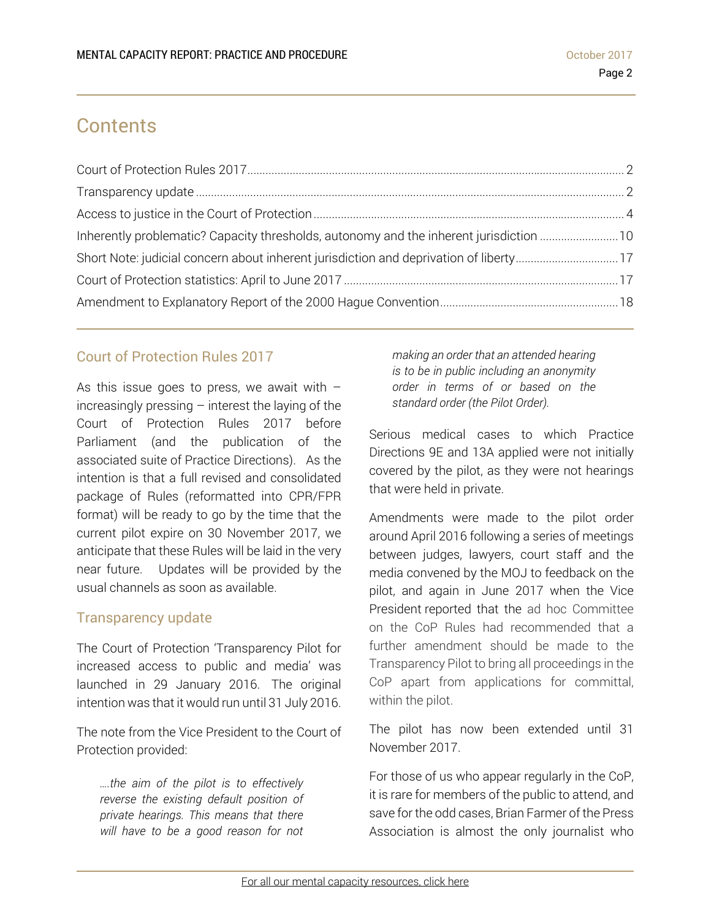# **Contents**

| Inherently problematic? Capacity thresholds, autonomy and the inherent jurisdiction 10 |  |
|----------------------------------------------------------------------------------------|--|
|                                                                                        |  |
|                                                                                        |  |
|                                                                                        |  |

# Court of Protection Rules 2017

As this issue goes to press, we await with  $$ increasingly pressing  $-$  interest the laying of the Court of Protection Rules 2017 before Parliament (and the publication of the associated suite of Practice Directions). As the intention is that a full revised and consolidated package of Rules (reformatted into CPR/FPR format) will be ready to go by the time that the current pilot expire on 30 November 2017, we anticipate that these Rules will be laid in the very near future. Updates will be provided by the usual channels as soon as available.

# Transparency update

The Court of Protection 'Transparency Pilot for increased access to public and media' was launched in 29 January 2016. The original intention was that it would run until 31 July 2016.

The note from the Vice President to the Court of Protection provided:

*….the aim of the pilot is to effectively reverse the existing default position of private hearings. This means that there will have to be a good reason for not* 

*making an order that an attended hearing is to be in public including an anonymity order in terms of or based on the standard order (the Pilot Order).* 

Serious medical cases to which Practice Directions 9E and 13A applied were not initially covered by the pilot, as they were not hearings that were held in private.

Amendments were made to the pilot order around April 2016 following a series of meetings between judges, lawyers, court staff and the media convened by the MOJ to feedback on the pilot, and again in June 2017 when the Vice President reported that the ad hoc Committee on the CoP Rules had recommended that a further amendment should be made to the Transparency Pilot to bring all proceedings in the CoP apart from applications for committal, within the pilot.

The pilot has now been extended until 31 November 2017.

For those of us who appear regularly in the CoP, it is rare for members of the public to attend, and save for the odd cases, Brian Farmer of the Press Association is almost the only journalist who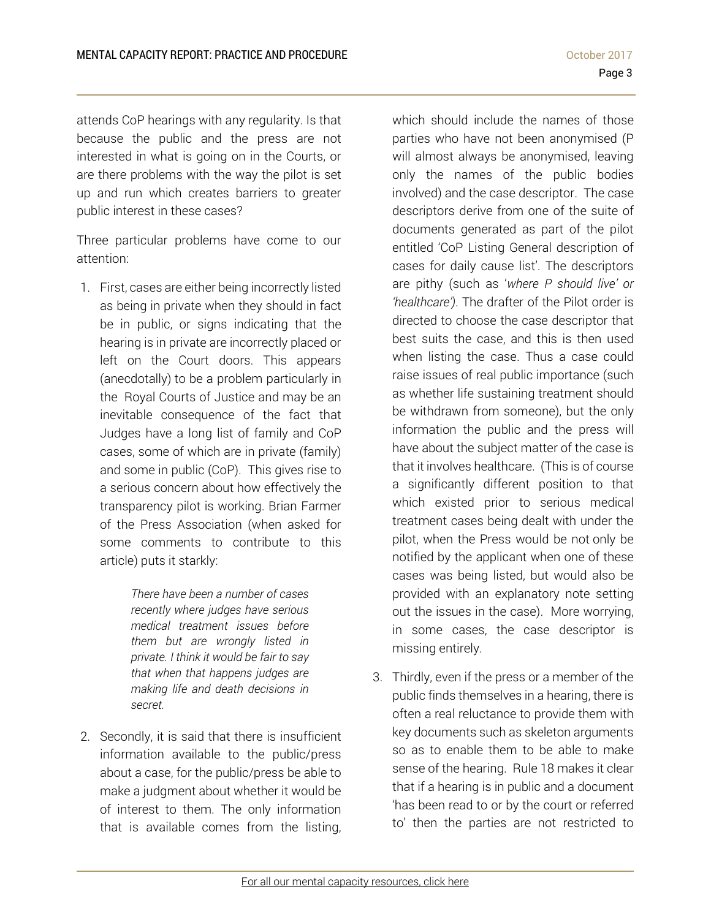attends CoP hearings with any regularity. Is that because the public and the press are not interested in what is going on in the Courts, or are there problems with the way the pilot is set up and run which creates barriers to greater public interest in these cases?

Three particular problems have come to our attention:

1. First, cases are either being incorrectly listed as being in private when they should in fact be in public, or signs indicating that the hearing is in private are incorrectly placed or left on the Court doors. This appears (anecdotally) to be a problem particularly in the Royal Courts of Justice and may be an inevitable consequence of the fact that Judges have a long list of family and CoP cases, some of which are in private (family) and some in public (CoP). This gives rise to a serious concern about how effectively the transparency pilot is working. Brian Farmer of the Press Association (when asked for some comments to contribute to this article) puts it starkly:

> *There have been a number of cases recently where judges have serious medical treatment issues before them but are wrongly listed in private. I think it would be fair to say that when that happens judges are making life and death decisions in secret.*

2. Secondly, it is said that there is insufficient information available to the public/press about a case, for the public/press be able to make a judgment about whether it would be of interest to them. The only information that is available comes from the listing,

which should include the names of those parties who have not been anonymised (P will almost always be anonymised, leaving only the names of the public bodies involved) and the case descriptor. The case descriptors derive from one of the suite of documents generated as part of the pilot entitled 'CoP Listing General description of cases for daily cause list'. The descriptors are pithy (such as '*where P should live' or 'healthcare')*. The drafter of the Pilot order is directed to choose the case descriptor that best suits the case, and this is then used when listing the case. Thus a case could raise issues of real public importance (such as whether life sustaining treatment should be withdrawn from someone), but the only information the public and the press will have about the subject matter of the case is that it involves healthcare. (This is of course a significantly different position to that which existed prior to serious medical treatment cases being dealt with under the pilot, when the Press would be not only be notified by the applicant when one of these cases was being listed, but would also be provided with an explanatory note setting out the issues in the case). More worrying, in some cases, the case descriptor is missing entirely.

3. Thirdly, even if the press or a member of the public finds themselves in a hearing, there is often a real reluctance to provide them with key documents such as skeleton arguments so as to enable them to be able to make sense of the hearing. Rule 18 makes it clear that if a hearing is in public and a document 'has been read to or by the court or referred to' then the parties are not restricted to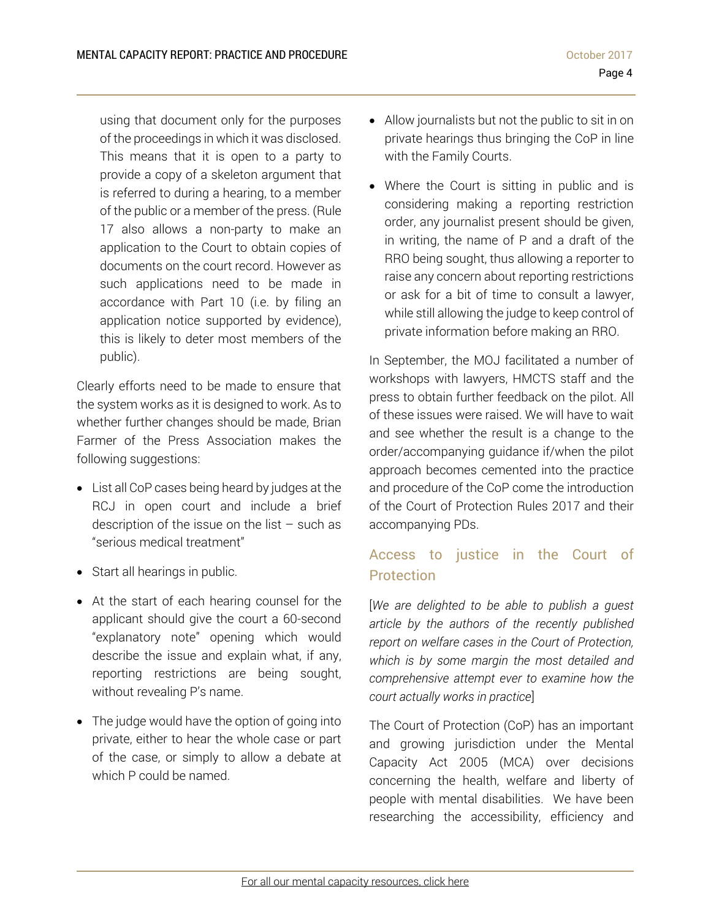using that document only for the purposes of the proceedings in which it was disclosed. This means that it is open to a party to provide a copy of a skeleton argument that is referred to during a hearing, to a member of the public or a member of the press. (Rule 17 also allows a non-party to make an application to the Court to obtain copies of documents on the court record. However as such applications need to be made in accordance with Part 10 (i.e. by filing an application notice supported by evidence), this is likely to deter most members of the public).

Clearly efforts need to be made to ensure that the system works as it is designed to work. As to whether further changes should be made, Brian Farmer of the Press Association makes the following suggestions:

- List all CoP cases being heard by judges at the RCJ in open court and include a brief description of the issue on the list  $-$  such as "serious medical treatment"
- Start all hearings in public.
- At the start of each hearing counsel for the applicant should give the court a 60-second "explanatory note" opening which would describe the issue and explain what, if any, reporting restrictions are being sought, without revealing P's name.
- The judge would have the option of going into private, either to hear the whole case or part of the case, or simply to allow a debate at which P could be named.
- Allow journalists but not the public to sit in on private hearings thus bringing the CoP in line with the Family Courts.
- Where the Court is sitting in public and is considering making a reporting restriction order, any journalist present should be given, in writing, the name of P and a draft of the RRO being sought, thus allowing a reporter to raise any concern about reporting restrictions or ask for a bit of time to consult a lawyer, while still allowing the judge to keep control of private information before making an RRO.

In September, the MOJ facilitated a number of workshops with lawyers, HMCTS staff and the press to obtain further feedback on the pilot. All of these issues were raised. We will have to wait and see whether the result is a change to the order/accompanying guidance if/when the pilot approach becomes cemented into the practice and procedure of the CoP come the introduction of the Court of Protection Rules 2017 and their accompanying PDs.

# Access to justice in the Court of **Protection**

[*We are delighted to be able to publish a guest article by the authors of the recently published report on welfare cases in the Court of Protection, which is by some margin the most detailed and comprehensive attempt ever to examine how the court actually works in practice*]

The Court of Protection (CoP) has an important and growing jurisdiction under the Mental Capacity Act 2005 (MCA) over decisions concerning the health, welfare and liberty of people with mental disabilities. We have been researching the accessibility, efficiency and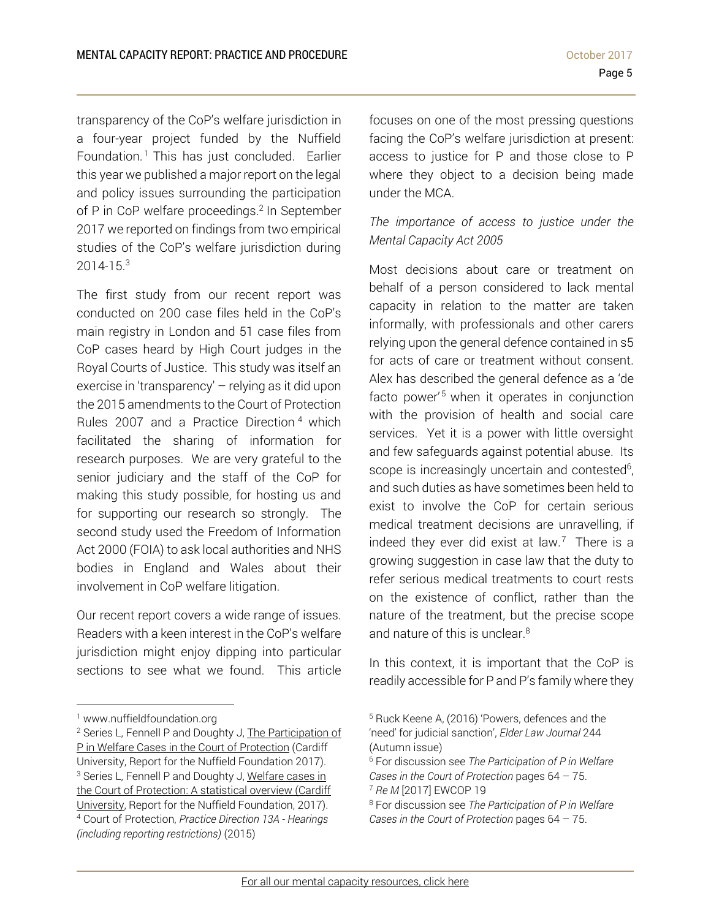transparency of the CoP's welfare jurisdiction in a four-year project funded by the Nuffield Foundation. 1 This has just concluded. Earlier this year we published a major report on the legal and policy issues surrounding the participation of P in CoP welfare proceedings.<sup>2</sup> In September 2017 we reported on findings from two empirical studies of the CoP's welfare jurisdiction during 2014-15.3

The first study from our recent report was conducted on 200 case files held in the CoP's main registry in London and 51 case files from CoP cases heard by High Court judges in the Royal Courts of Justice. This study was itself an exercise in 'transparency' – relying as it did upon the 2015 amendments to the Court of Protection Rules 2007 and a Practice Direction 4 which facilitated the sharing of information for research purposes. We are very grateful to the senior judiciary and the staff of the CoP for making this study possible, for hosting us and for supporting our research so strongly. The second study used the Freedom of Information Act 2000 (FOIA) to ask local authorities and NHS bodies in England and Wales about their involvement in CoP welfare litigation.

Our recent report covers a wide range of issues. Readers with a keen interest in the CoP's welfare jurisdiction might enjoy dipping into particular sections to see what we found. This article

 $\overline{a}$ 

focuses on one of the most pressing questions facing the CoP's welfare jurisdiction at present: access to justice for P and those close to P where they object to a decision being made under the MCA.

# *The importance of access to justice under the Mental Capacity Act 2005*

Most decisions about care or treatment on behalf of a person considered to lack mental capacity in relation to the matter are taken informally, with professionals and other carers relying upon the general defence contained in s5 for acts of care or treatment without consent. Alex has described the general defence as a 'de facto power<sup>'5</sup> when it operates in conjunction with the provision of health and social care services. Yet it is a power with little oversight and few safeguards against potential abuse. Its scope is increasingly uncertain and contested<sup>6</sup>, and such duties as have sometimes been held to exist to involve the CoP for certain serious medical treatment decisions are unravelling, if indeed they ever did exist at law. $<sup>7</sup>$  There is a</sup> growing suggestion in case law that the duty to refer serious medical treatments to court rests on the existence of conflict, rather than the nature of the treatment, but the precise scope and nature of this is unclear.<sup>8</sup>

In this context, it is important that the CoP is readily accessible for P and P's family where they

<sup>1</sup> www.nuffieldfoundation.org

<sup>2</sup> Series L, Fennell P and Doughty J, The Participation of P in Welfare Cases in the Court of Protection (Cardiff University, Report for the Nuffield Foundation 2017). <sup>3</sup> Series L, Fennell P and Doughty J, Welfare cases in the Court of Protection: A statistical overview (Cardiff University, Report for the Nuffield Foundation, 2017). 4 Court of Protection, *Practice Direction 13A - Hearings (including reporting restrictions)* (2015)

<sup>5</sup> Ruck Keene A, (2016) 'Powers, defences and the 'need' for judicial sanction', *Elder Law Journal* 244 (Autumn issue)

<sup>6</sup> For discussion see *The Participation of P in Welfare Cases in the Court of Protection pages 64 – 75.*<br><sup>7</sup> *Re M* [2017] EWCOP 19<br><sup>8</sup> For discussion see *The Participation of P in Welfare* 

*Cases in the Court of Protection* pages 64 – 75.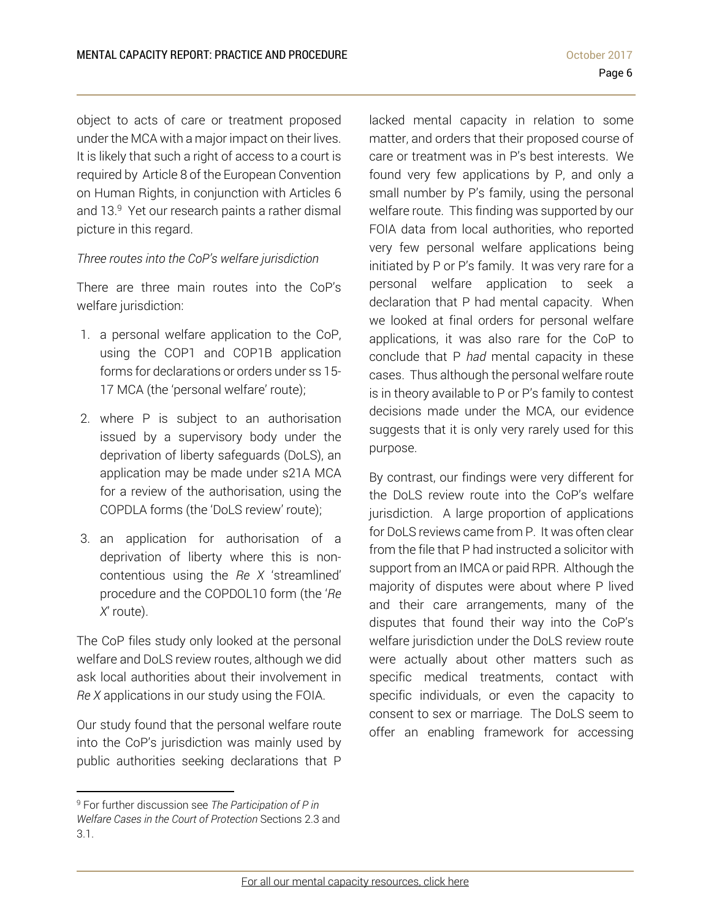object to acts of care or treatment proposed under the MCA with a major impact on their lives. It is likely that such a right of access to a court is required by Article 8 of the European Convention on Human Rights, in conjunction with Articles 6 and 13.<sup>9</sup> Yet our research paints a rather dismal picture in this regard.

### *Three routes into the CoP's welfare jurisdiction*

There are three main routes into the CoP's welfare jurisdiction:

- 1. a personal welfare application to the CoP, using the COP1 and COP1B application forms for declarations or orders under ss 15- 17 MCA (the 'personal welfare' route);
- 2. where P is subject to an authorisation issued by a supervisory body under the deprivation of liberty safeguards (DoLS), an application may be made under s21A MCA for a review of the authorisation, using the COPDLA forms (the 'DoLS review' route);
- 3. an application for authorisation of a deprivation of liberty where this is noncontentious using the *Re X* 'streamlined' procedure and the COPDOL10 form (the '*Re X*' route).

The CoP files study only looked at the personal welfare and DoLS review routes, although we did ask local authorities about their involvement in *Re X* applications in our study using the FOIA.

Our study found that the personal welfare route into the CoP's jurisdiction was mainly used by public authorities seeking declarations that P

l

lacked mental capacity in relation to some matter, and orders that their proposed course of care or treatment was in P's best interests. We found very few applications by P, and only a small number by P's family, using the personal welfare route. This finding was supported by our FOIA data from local authorities, who reported very few personal welfare applications being initiated by P or P's family. It was very rare for a personal welfare application to seek a declaration that P had mental capacity. When we looked at final orders for personal welfare applications, it was also rare for the CoP to conclude that P *had* mental capacity in these cases. Thus although the personal welfare route is in theory available to P or P's family to contest decisions made under the MCA, our evidence suggests that it is only very rarely used for this purpose.

By contrast, our findings were very different for the DoLS review route into the CoP's welfare jurisdiction. A large proportion of applications for DoLS reviews came from P. It was often clear from the file that P had instructed a solicitor with support from an IMCA or paid RPR. Although the majority of disputes were about where P lived and their care arrangements, many of the disputes that found their way into the CoP's welfare jurisdiction under the DoLS review route were actually about other matters such as specific medical treatments, contact with specific individuals, or even the capacity to consent to sex or marriage. The DoLS seem to offer an enabling framework for accessing

<sup>9</sup> For further discussion see *The Participation of P in Welfare Cases in the Court of Protection* Sections 2.3 and 3.1.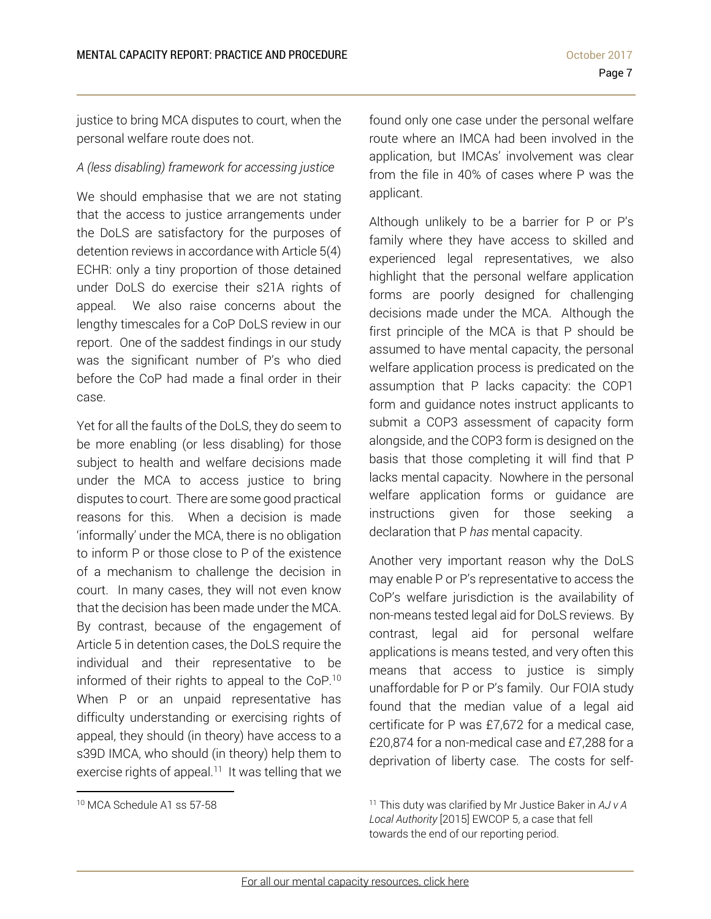justice to bring MCA disputes to court, when the personal welfare route does not.

## *A (less disabling) framework for accessing justice*

We should emphasise that we are not stating that the access to justice arrangements under the DoLS are satisfactory for the purposes of detention reviews in accordance with Article 5(4) ECHR: only a tiny proportion of those detained under DoLS do exercise their s21A rights of appeal. We also raise concerns about the lengthy timescales for a CoP DoLS review in our report. One of the saddest findings in our study was the significant number of P's who died before the CoP had made a final order in their case.

Yet for all the faults of the DoLS, they do seem to be more enabling (or less disabling) for those subject to health and welfare decisions made under the MCA to access justice to bring disputes to court. There are some good practical reasons for this. When a decision is made 'informally' under the MCA, there is no obligation to inform P or those close to P of the existence of a mechanism to challenge the decision in court. In many cases, they will not even know that the decision has been made under the MCA. By contrast, because of the engagement of Article 5 in detention cases, the DoLS require the individual and their representative to be informed of their rights to appeal to the CoP.10 When P or an unpaid representative has difficulty understanding or exercising rights of appeal, they should (in theory) have access to a s39D IMCA, who should (in theory) help them to exercise rights of appeal.<sup>11</sup> It was telling that we found only one case under the personal welfare route where an IMCA had been involved in the application, but IMCAs' involvement was clear from the file in 40% of cases where P was the applicant.

Although unlikely to be a barrier for P or P's family where they have access to skilled and experienced legal representatives, we also highlight that the personal welfare application forms are poorly designed for challenging decisions made under the MCA. Although the first principle of the MCA is that P should be assumed to have mental capacity, the personal welfare application process is predicated on the assumption that P lacks capacity: the COP1 form and guidance notes instruct applicants to submit a COP3 assessment of capacity form alongside, and the COP3 form is designed on the basis that those completing it will find that P lacks mental capacity. Nowhere in the personal welfare application forms or guidance are instructions given for those seeking a declaration that P *has* mental capacity.

Another very important reason why the DoLS may enable P or P's representative to access the CoP's welfare jurisdiction is the availability of non-means tested legal aid for DoLS reviews. By contrast, legal aid for personal welfare applications is means tested, and very often this means that access to justice is simply unaffordable for P or P's family. Our FOIA study found that the median value of a legal aid certificate for P was £7,672 for a medical case, £20,874 for a non-medical case and £7,288 for a deprivation of liberty case. The costs for self-

l

<sup>10</sup> MCA Schedule A1 ss 57-58

<sup>11</sup> This duty was clarified by Mr Justice Baker in *AJ v A Local Authority* [2015] EWCOP 5, a case that fell towards the end of our reporting period.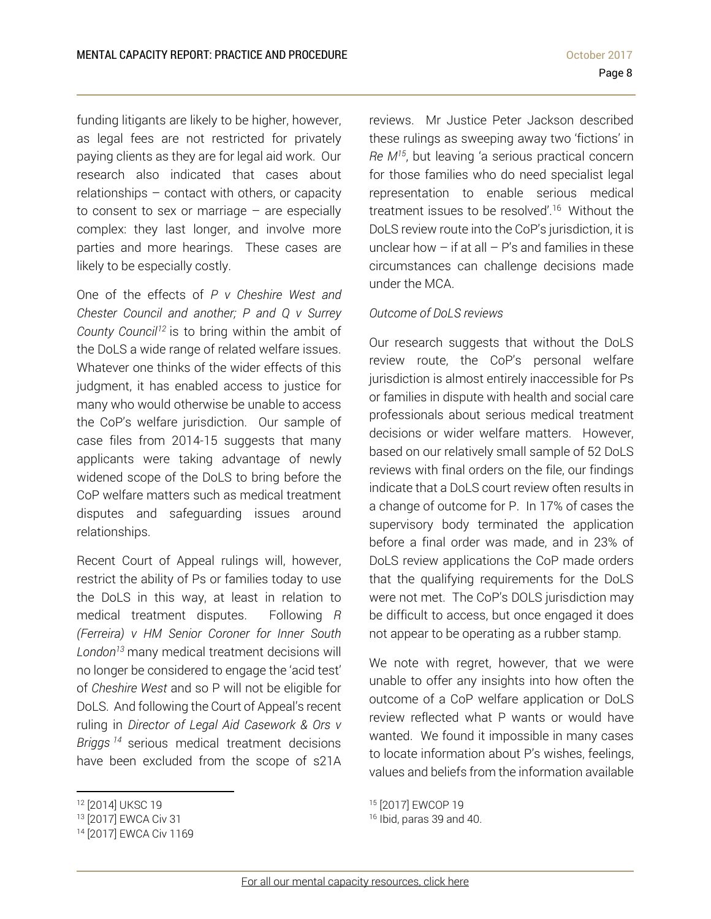funding litigants are likely to be higher, however, as legal fees are not restricted for privately paying clients as they are for legal aid work. Our research also indicated that cases about relationships – contact with others, or capacity to consent to sex or marriage  $-$  are especially complex: they last longer, and involve more parties and more hearings. These cases are likely to be especially costly.

One of the effects of *P v Cheshire West and Chester Council and another; P and Q v Surrey County Council12* is to bring within the ambit of the DoLS a wide range of related welfare issues. Whatever one thinks of the wider effects of this judgment, it has enabled access to justice for many who would otherwise be unable to access the CoP's welfare jurisdiction. Our sample of case files from 2014-15 suggests that many applicants were taking advantage of newly widened scope of the DoLS to bring before the CoP welfare matters such as medical treatment disputes and safeguarding issues around relationships.

Recent Court of Appeal rulings will, however, restrict the ability of Ps or families today to use the DoLS in this way, at least in relation to medical treatment disputes. Following *R (Ferreira) v HM Senior Coroner for Inner South London13* many medical treatment decisions will no longer be considered to engage the 'acid test' of *Cheshire West* and so P will not be eligible for DoLS. And following the Court of Appeal's recent ruling in *Director of Legal Aid Casework & Ors v Briggs <sup>14</sup>* serious medical treatment decisions have been excluded from the scope of s21A

l

reviews. Mr Justice Peter Jackson described these rulings as sweeping away two 'fictions' in *Re M15*, but leaving 'a serious practical concern for those families who do need specialist legal representation to enable serious medical treatment issues to be resolved'.<sup>16</sup> Without the DoLS review route into the CoP's jurisdiction, it is unclear how  $-$  if at all  $-$  P's and families in these circumstances can challenge decisions made under the MCA.

## *Outcome of DoLS reviews*

Our research suggests that without the DoLS review route, the CoP's personal welfare jurisdiction is almost entirely inaccessible for Ps or families in dispute with health and social care professionals about serious medical treatment decisions or wider welfare matters. However, based on our relatively small sample of 52 DoLS reviews with final orders on the file, our findings indicate that a DoLS court review often results in a change of outcome for P. In 17% of cases the supervisory body terminated the application before a final order was made, and in 23% of DoLS review applications the CoP made orders that the qualifying requirements for the DoLS were not met. The CoP's DOLS jurisdiction may be difficult to access, but once engaged it does not appear to be operating as a rubber stamp.

We note with regret, however, that we were unable to offer any insights into how often the outcome of a CoP welfare application or DoLS review reflected what P wants or would have wanted. We found it impossible in many cases to locate information about P's wishes, feelings, values and beliefs from the information available

<sup>12 [2014]</sup> UKSC 19

<sup>13 [2017]</sup> EWCA Civ 31

<sup>14 [2017]</sup> EWCA Civ 1169

<sup>15 [2017]</sup> EWCOP 19

<sup>16</sup> Ibid, paras 39 and 40.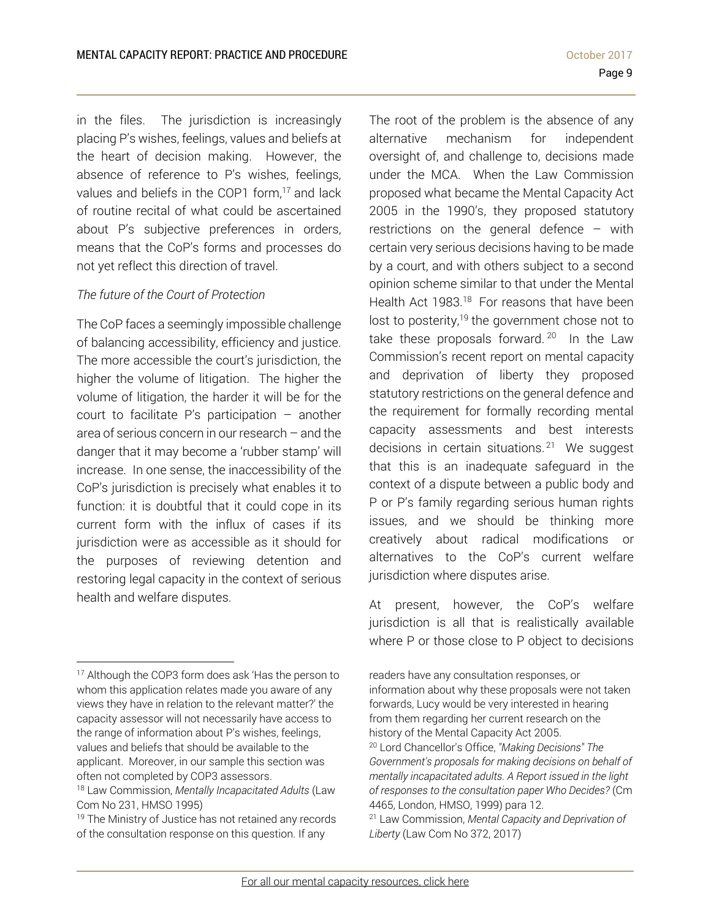in the files. The jurisdiction is increasingly placing P's wishes, feelings, values and beliefs at the heart of decision making. However, the absence of reference to P's wishes, feelings, values and beliefs in the COP1 form.<sup>17</sup> and lack of routine recital of what could be ascertained about P's subjective preferences in orders, means that the CoP's forms and processes do not yet reflect this direction of travel.

## *The future of the Court of Protection*

The CoP faces a seemingly impossible challenge of balancing accessibility, efficiency and justice. The more accessible the court's jurisdiction, the higher the volume of litigation. The higher the volume of litigation, the harder it will be for the court to facilitate P's participation – another area of serious concern in our research – and the danger that it may become a 'rubber stamp' will increase. In one sense, the inaccessibility of the CoP's jurisdiction is precisely what enables it to function: it is doubtful that it could cope in its current form with the influx of cases if its jurisdiction were as accessible as it should for the purposes of reviewing detention and restoring legal capacity in the context of serious health and welfare disputes.

 $\overline{a}$ 

The root of the problem is the absence of any alternative mechanism for independent oversight of, and challenge to, decisions made under the MCA. When the Law Commission proposed what became the Mental Capacity Act 2005 in the 1990's, they proposed statutory restrictions on the general defence – with certain very serious decisions having to be made by a court, and with others subject to a second opinion scheme similar to that under the Mental Health Act 1983.<sup>18</sup> For reasons that have been lost to posterity,<sup>19</sup> the government chose not to take these proposals forward.  $20$  In the Law Commission's recent report on mental capacity and deprivation of liberty they proposed statutory restrictions on the general defence and the requirement for formally recording mental capacity assessments and best interests decisions in certain situations.<sup>21</sup> We suggest that this is an inadequate safeguard in the context of a dispute between a public body and P or P's family regarding serious human rights issues, and we should be thinking more creatively about radical modifications or alternatives to the CoP's current welfare jurisdiction where disputes arise.

At present, however, the CoP's welfare jurisdiction is all that is realistically available where P or those close to P object to decisions

<sup>&</sup>lt;sup>17</sup> Although the COP3 form does ask 'Has the person to whom this application relates made you aware of any views they have in relation to the relevant matter?' the capacity assessor will not necessarily have access to the range of information about P's wishes, feelings, values and beliefs that should be available to the applicant. Moreover, in our sample this section was often not completed by COP3 assessors.

<sup>18</sup> Law Commission, *Mentally Incapacitated Adults* (Law Com No 231, HMSO 1995)

<sup>&</sup>lt;sup>19</sup> The Ministry of Justice has not retained any records of the consultation response on this question. If any

readers have any consultation responses, or information about why these proposals were not taken forwards, Lucy would be very interested in hearing from them regarding her current research on the history of the Mental Capacity Act 2005. 20 Lord Chancellor's Office, *"Making Decisions" The Government's proposals for making decisions on behalf of mentally incapacitated adults. A Report issued in the light of responses to the consultation paper Who Decides?* (Cm 4465, London, HMSO, 1999) para 12. 21 Law Commission, *Mental Capacity and Deprivation of* 

*Liberty* (Law Com No 372, 2017)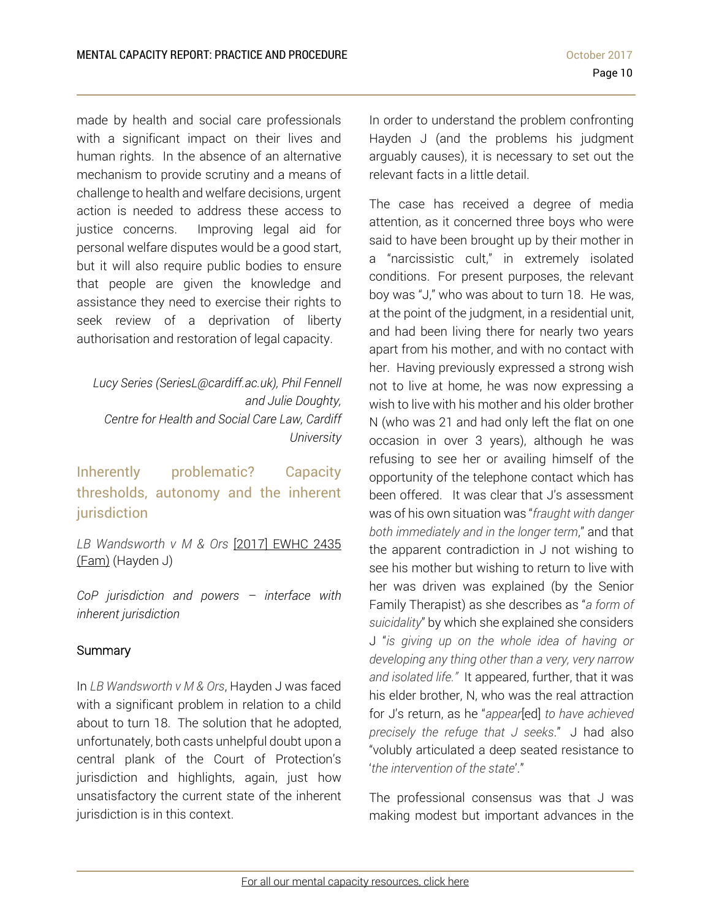made by health and social care professionals with a significant impact on their lives and human rights. In the absence of an alternative mechanism to provide scrutiny and a means of challenge to health and welfare decisions, urgent action is needed to address these access to justice concerns. Improving legal aid for personal welfare disputes would be a good start, but it will also require public bodies to ensure that people are given the knowledge and assistance they need to exercise their rights to seek review of a deprivation of liberty authorisation and restoration of legal capacity.

*Lucy Series (SeriesL@cardiff.ac.uk), Phil Fennell and Julie Doughty, Centre for Health and Social Care Law, Cardiff University*

Inherently problematic? Capacity thresholds, autonomy and the inherent jurisdiction

*LB Wandsworth v M & Ors* [2017] EWHC 2435 (Fam) (Hayden J)

*CoP jurisdiction and powers – interface with inherent jurisdiction* 

# **Summary**

In *LB Wandsworth v M & Ors*, Hayden J was faced with a significant problem in relation to a child about to turn 18. The solution that he adopted, unfortunately, both casts unhelpful doubt upon a central plank of the Court of Protection's jurisdiction and highlights, again, just how unsatisfactory the current state of the inherent jurisdiction is in this context.

In order to understand the problem confronting Hayden J (and the problems his judgment arguably causes), it is necessary to set out the relevant facts in a little detail.

The case has received a degree of media attention, as it concerned three boys who were said to have been brought up by their mother in a "narcissistic cult," in extremely isolated conditions. For present purposes, the relevant boy was "J," who was about to turn 18. He was, at the point of the judgment, in a residential unit, and had been living there for nearly two years apart from his mother, and with no contact with her. Having previously expressed a strong wish not to live at home, he was now expressing a wish to live with his mother and his older brother N (who was 21 and had only left the flat on one occasion in over 3 years), although he was refusing to see her or availing himself of the opportunity of the telephone contact which has been offered. It was clear that J's assessment was of his own situation was "*fraught with danger both immediately and in the longer term*," and that the apparent contradiction in J not wishing to see his mother but wishing to return to live with her was driven was explained (by the Senior Family Therapist) as she describes as "*a form of suicidality*" by which she explained she considers J "*is giving up on the whole idea of having or developing any thing other than a very, very narrow and isolated life."* It appeared, further, that it was his elder brother, N, who was the real attraction for J's return, as he "*appear*[ed] *to have achieved precisely the refuge that J seeks*." J had also "volubly articulated a deep seated resistance to '*the intervention of the state*'."

The professional consensus was that J was making modest but important advances in the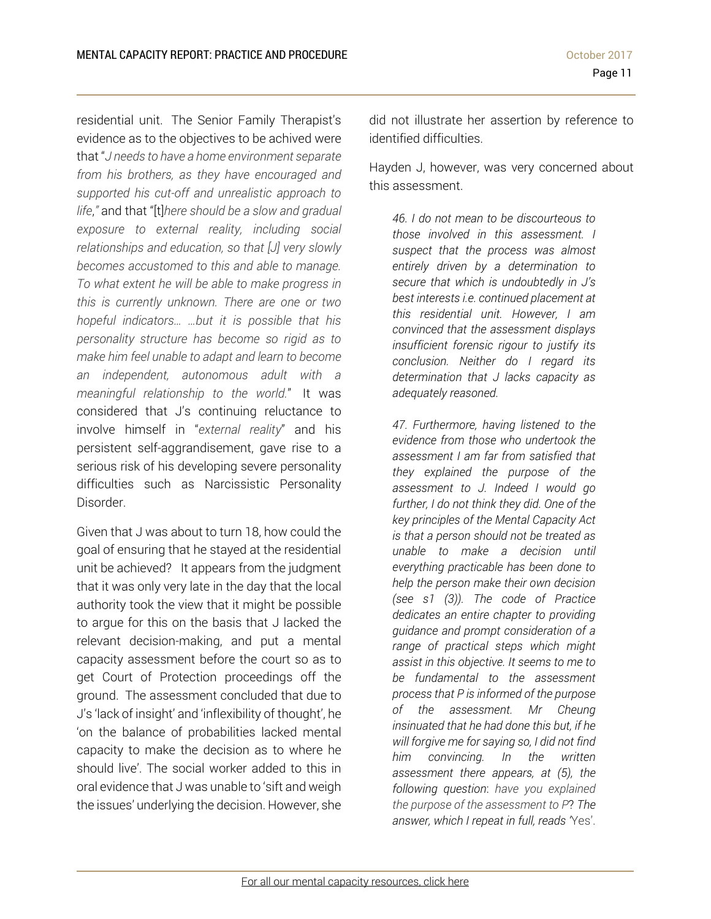Page 11

residential unit. The Senior Family Therapist's evidence as to the objectives to be achived were that "*J needs to have a home environment separate from his brothers, as they have encouraged and supported his cut-off and unrealistic approach to life*,*"* and that "[t]*here should be a slow and gradual exposure to external reality, including social relationships and education, so that [J] very slowly becomes accustomed to this and able to manage. To what extent he will be able to make progress in this is currently unknown. There are one or two hopeful indicators… …but it is possible that his personality structure has become so rigid as to make him feel unable to adapt and learn to become an independent, autonomous adult with a meaningful relationship to the world.*" It was considered that J's continuing reluctance to involve himself in "*external reality*" and his persistent self-aggrandisement, gave rise to a serious risk of his developing severe personality difficulties such as Narcissistic Personality Disorder.

Given that J was about to turn 18, how could the goal of ensuring that he stayed at the residential unit be achieved? It appears from the judgment that it was only very late in the day that the local authority took the view that it might be possible to argue for this on the basis that J lacked the relevant decision-making, and put a mental capacity assessment before the court so as to get Court of Protection proceedings off the ground. The assessment concluded that due to J's 'lack of insight' and 'inflexibility of thought', he 'on the balance of probabilities lacked mental capacity to make the decision as to where he should live'. The social worker added to this in oral evidence that J was unable to 'sift and weigh the issues' underlying the decision. However, she

did not illustrate her assertion by reference to identified difficulties.

Hayden J, however, was very concerned about this assessment.

*46. I do not mean to be discourteous to those involved in this assessment. I suspect that the process was almost entirely driven by a determination to secure that which is undoubtedly in J's best interests i.e. continued placement at this residential unit. However, I am convinced that the assessment displays insufficient forensic rigour to justify its conclusion. Neither do I regard its determination that J lacks capacity as adequately reasoned.* 

*47. Furthermore, having listened to the evidence from those who undertook the assessment I am far from satisfied that they explained the purpose of the assessment to J. Indeed I would go further, I do not think they did. One of the key principles of the Mental Capacity Act is that a person should not be treated as unable to make a decision until everything practicable has been done to help the person make their own decision (see s1 (3)). The code of Practice dedicates an entire chapter to providing guidance and prompt consideration of a range of practical steps which might assist in this objective. It seems to me to be fundamental to the assessment process that P is informed of the purpose of the assessment. Mr Cheung insinuated that he had done this but, if he will forgive me for saying so, I did not find him convincing. In the written assessment there appears, at (5), the following question*: *have you explained the purpose of the assessment to P*? *The answer, which I repeat in full, reads '*Yes'.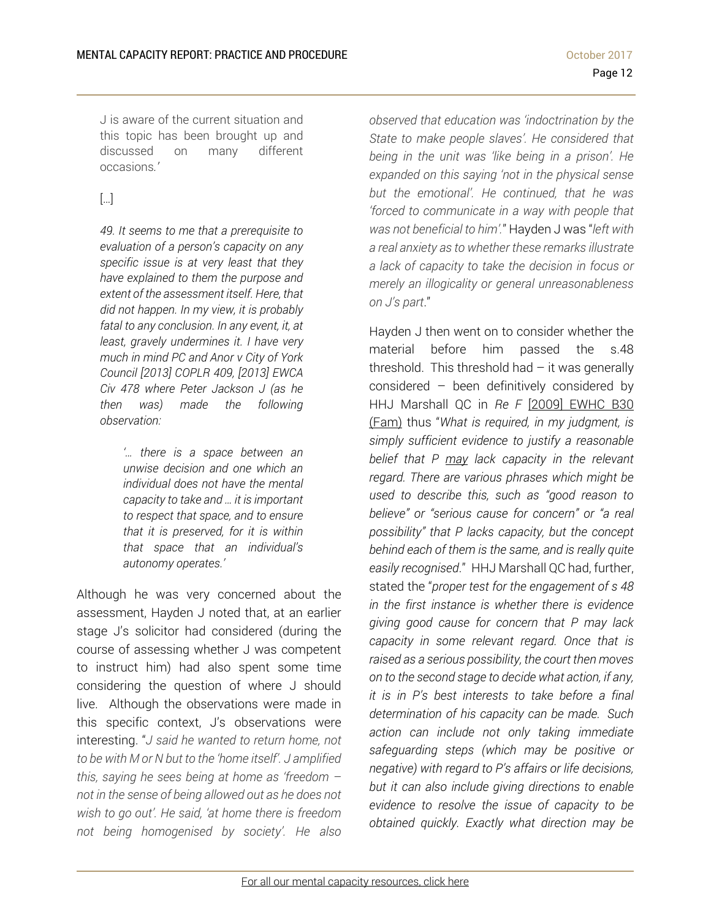J is aware of the current situation and this topic has been brought up and discussed on many different occasions*.'* 

# […]

*49. It seems to me that a prerequisite to evaluation of a person's capacity on any specific issue is at very least that they have explained to them the purpose and extent of the assessment itself. Here, that did not happen. In my view, it is probably fatal to any conclusion. In any event, it, at least, gravely undermines it. I have very much in mind PC and Anor v City of York Council [2013] COPLR 409, [2013] EWCA Civ 478 where Peter Jackson J (as he then was) made the following observation:* 

> *'… there is a space between an unwise decision and one which an individual does not have the mental capacity to take and … it is important to respect that space, and to ensure that it is preserved, for it is within that space that an individual's autonomy operates.'*

Although he was very concerned about the assessment, Hayden J noted that, at an earlier stage J's solicitor had considered (during the course of assessing whether J was competent to instruct him) had also spent some time considering the question of where J should live. Although the observations were made in this specific context, J's observations were interesting. "*J said he wanted to return home, not to be with M or N but to the 'home itself'. J amplified this, saying he sees being at home as 'freedom – not in the sense of being allowed out as he does not wish to go out'. He said, 'at home there is freedom not being homogenised by society'. He also*  *observed that education was 'indoctrination by the State to make people slaves'. He considered that being in the unit was 'like being in a prison'. He expanded on this saying 'not in the physical sense but the emotional'. He continued, that he was 'forced to communicate in a way with people that was not beneficial to him'.*" Hayden J was "*left with a real anxiety as to whether these remarks illustrate a lack of capacity to take the decision in focus or merely an illogicality or general unreasonableness on J's part*."

Hayden J then went on to consider whether the material before him passed the s.48 threshold. This threshold had  $-$  it was generally considered – been definitively considered by HHJ Marshall QC in *Re F* [2009] EWHC B30 (Fam) thus "*What is required, in my judgment, is simply sufficient evidence to justify a reasonable belief that P may lack capacity in the relevant regard. There are various phrases which might be used to describe this, such as "good reason to believe" or "serious cause for concern" or "a real possibility" that P lacks capacity, but the concept behind each of them is the same, and is really quite easily recognised*." HHJ Marshall QC had, further, stated the "*proper test for the engagement of s 48 in the first instance is whether there is evidence giving good cause for concern that P may lack capacity in some relevant regard. Once that is raised as a serious possibility, the court then moves on to the second stage to decide what action, if any, it is in P's best interests to take before a final determination of his capacity can be made. Such action can include not only taking immediate safeguarding steps (which may be positive or negative) with regard to P's affairs or life decisions, but it can also include giving directions to enable evidence to resolve the issue of capacity to be obtained quickly. Exactly what direction may be*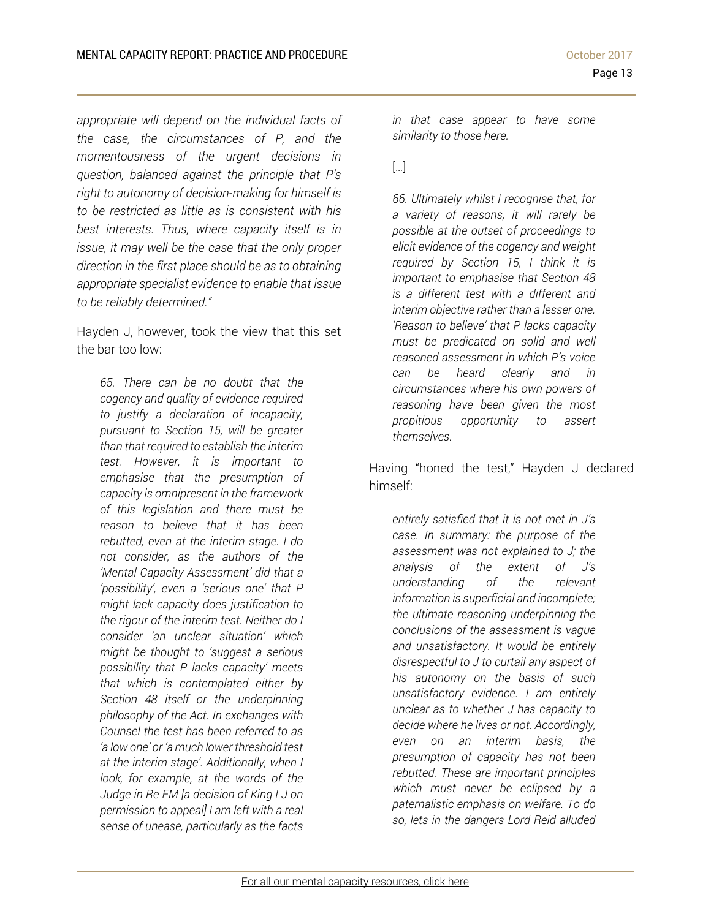*appropriate will depend on the individual facts of the case, the circumstances of P, and the momentousness of the urgent decisions in question, balanced against the principle that P's right to autonomy of decision-making for himself is to be restricted as little as is consistent with his best interests. Thus, where capacity itself is in issue, it may well be the case that the only proper direction in the first place should be as to obtaining appropriate specialist evidence to enable that issue to be reliably determined."*

Hayden J, however, took the view that this set the bar too low:

*65. There can be no doubt that the cogency and quality of evidence required to justify a declaration of incapacity, pursuant to Section 15, will be greater than that required to establish the interim test. However, it is important to emphasise that the presumption of capacity is omnipresent in the framework of this legislation and there must be reason to believe that it has been rebutted, even at the interim stage. I do not consider, as the authors of the 'Mental Capacity Assessment' did that a 'possibility', even a 'serious one' that P might lack capacity does justification to the rigour of the interim test. Neither do I consider 'an unclear situation' which might be thought to 'suggest a serious possibility that P lacks capacity' meets that which is contemplated either by Section 48 itself or the underpinning philosophy of the Act. In exchanges with Counsel the test has been referred to as 'a low one' or 'a much lower threshold test at the interim stage'. Additionally, when I look, for example, at the words of the Judge in Re FM [a decision of King LJ on permission to appeal] I am left with a real sense of unease, particularly as the facts* 

*in that case appear to have some similarity to those here.* 

[…]

*66. Ultimately whilst I recognise that, for a variety of reasons, it will rarely be possible at the outset of proceedings to elicit evidence of the cogency and weight required by Section 15, I think it is important to emphasise that Section 48 is a different test with a different and interim objective rather than a lesser one. 'Reason to believe' that P lacks capacity must be predicated on solid and well reasoned assessment in which P's voice can be heard clearly and in circumstances where his own powers of reasoning have been given the most propitious opportunity to assert themselves.* 

Having "honed the test," Hayden J declared himself:

*entirely satisfied that it is not met in J's case. In summary: the purpose of the assessment was not explained to J; the analysis of the extent of J's understanding of the relevant information is superficial and incomplete; the ultimate reasoning underpinning the conclusions of the assessment is vague and unsatisfactory. It would be entirely disrespectful to J to curtail any aspect of his autonomy on the basis of such unsatisfactory evidence. I am entirely unclear as to whether J has capacity to decide where he lives or not. Accordingly, even on an interim basis, the presumption of capacity has not been rebutted. These are important principles which must never be eclipsed by a paternalistic emphasis on welfare. To do so, lets in the dangers Lord Reid alluded*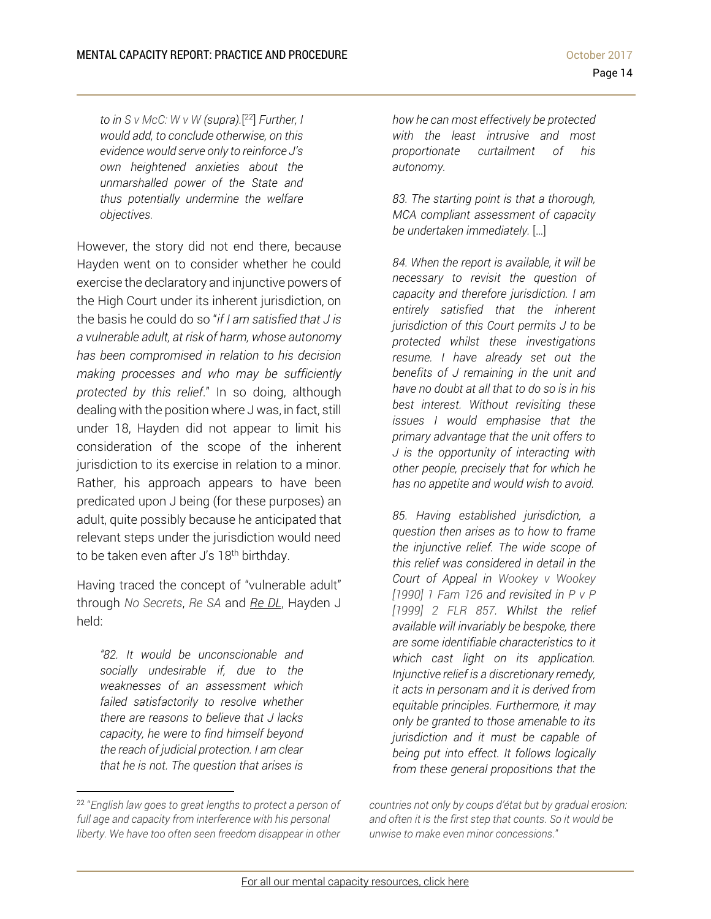*to in S v McC: W v W (supra).*[ 22] *Further, I would add, to conclude otherwise, on this evidence would serve only to reinforce J's own heightened anxieties about the unmarshalled power of the State and thus potentially undermine the welfare objectives.* 

However, the story did not end there, because Hayden went on to consider whether he could exercise the declaratory and injunctive powers of the High Court under its inherent jurisdiction, on the basis he could do so "*if I am satisfied that J is a vulnerable adult, at risk of harm, whose autonomy has been compromised in relation to his decision making processes and who may be sufficiently protected by this relief*." In so doing, although dealing with the position where J was, in fact, still under 18, Hayden did not appear to limit his consideration of the scope of the inherent jurisdiction to its exercise in relation to a minor. Rather, his approach appears to have been predicated upon J being (for these purposes) an adult, quite possibly because he anticipated that relevant steps under the jurisdiction would need to be taken even after J's 18<sup>th</sup> birthday.

Having traced the concept of "vulnerable adult" through *No Secrets*, *Re SA* and *Re DL*, Hayden J held:

*"82. It would be unconscionable and socially undesirable if, due to the weaknesses of an assessment which failed satisfactorily to resolve whether there are reasons to believe that J lacks capacity, he were to find himself beyond the reach of judicial protection. I am clear that he is not. The question that arises is* 

l

*how he can most effectively be protected with the least intrusive and most proportionate curtailment of his autonomy.* 

*83. The starting point is that a thorough, MCA compliant assessment of capacity be undertaken immediately.* […]

*84. When the report is available, it will be necessary to revisit the question of capacity and therefore jurisdiction. I am entirely satisfied that the inherent jurisdiction of this Court permits J to be protected whilst these investigations resume. I have already set out the benefits of J remaining in the unit and have no doubt at all that to do so is in his best interest. Without revisiting these issues I would emphasise that the primary advantage that the unit offers to J is the opportunity of interacting with other people, precisely that for which he has no appetite and would wish to avoid.* 

*85. Having established jurisdiction, a question then arises as to how to frame the injunctive relief. The wide scope of this relief was considered in detail in the Court of Appeal in Wookey v Wookey [1990] 1 Fam 126 and revisited in P v P [1999] 2 FLR 857. Whilst the relief available will invariably be bespoke, there are some identifiable characteristics to it which cast light on its application. Injunctive relief is a discretionary remedy, it acts in personam and it is derived from equitable principles. Furthermore, it may only be granted to those amenable to its jurisdiction and it must be capable of being put into effect. It follows logically from these general propositions that the* 

*countries not only by coups d'état but by gradual erosion: and often it is the first step that counts. So it would be unwise to make even minor concessions*."

<sup>22</sup> "*English law goes to great lengths to protect a person of full age and capacity from interference with his personal liberty. We have too often seen freedom disappear in other*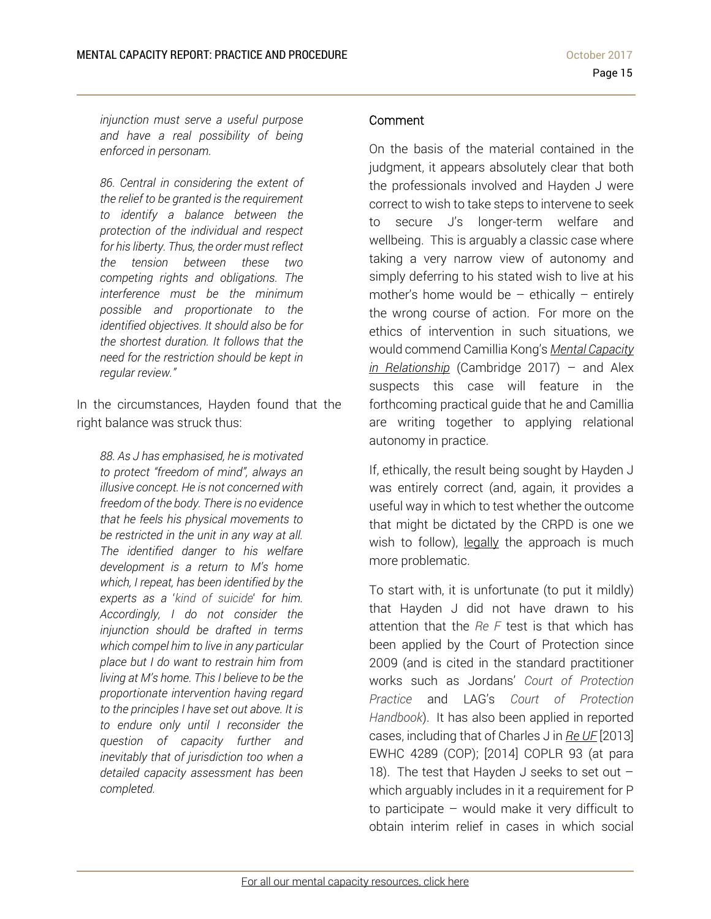*injunction must serve a useful purpose and have a real possibility of being enforced in personam.* 

*86. Central in considering the extent of the relief to be granted is the requirement to identify a balance between the protection of the individual and respect for his liberty. Thus, the order must reflect the tension between these two competing rights and obligations. The interference must be the minimum possible and proportionate to the identified objectives. It should also be for the shortest duration. It follows that the need for the restriction should be kept in regular review."* 

In the circumstances, Hayden found that the right balance was struck thus:

*88. As J has emphasised, he is motivated to protect "freedom of mind", always an illusive concept. He is not concerned with freedom of the body. There is no evidence that he feels his physical movements to be restricted in the unit in any way at all. The identified danger to his welfare development is a return to M's home which, I repeat, has been identified by the experts as a* '*kind of suicide*' *for him. Accordingly, I do not consider the injunction should be drafted in terms which compel him to live in any particular place but I do want to restrain him from living at M's home. This I believe to be the proportionate intervention having regard to the principles I have set out above. It is to endure only until I reconsider the question of capacity further and inevitably that of jurisdiction too when a detailed capacity assessment has been completed.* 

### Comment

On the basis of the material contained in the judgment, it appears absolutely clear that both the professionals involved and Hayden J were correct to wish to take steps to intervene to seek to secure J's longer-term welfare and wellbeing. This is arguably a classic case where taking a very narrow view of autonomy and simply deferring to his stated wish to live at his mother's home would be  $-$  ethically  $-$  entirely the wrong course of action. For more on the ethics of intervention in such situations, we would commend Camillia Kong's *Mental Capacity in Relationship* (Cambridge 2017) – and Alex suspects this case will feature in the forthcoming practical guide that he and Camillia are writing together to applying relational autonomy in practice.

If, ethically, the result being sought by Hayden J was entirely correct (and, again, it provides a useful way in which to test whether the outcome that might be dictated by the CRPD is one we wish to follow), legally the approach is much more problematic.

To start with, it is unfortunate (to put it mildly) that Hayden J did not have drawn to his attention that the *Re F* test is that which has been applied by the Court of Protection since 2009 (and is cited in the standard practitioner works such as Jordans' *Court of Protection Practice* and LAG's *Court of Protection Handbook*). It has also been applied in reported cases, including that of Charles J in *Re UF* [2013] EWHC 4289 (COP); [2014] COPLR 93 (at para 18). The test that Hayden J seeks to set out which arguably includes in it a requirement for P to participate – would make it very difficult to obtain interim relief in cases in which social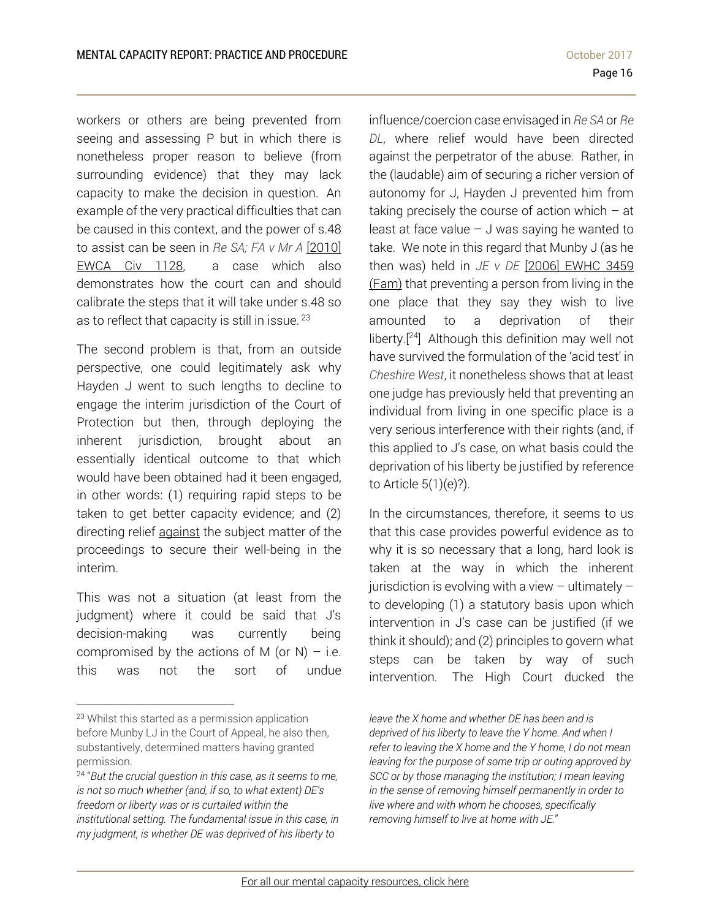workers or others are being prevented from seeing and assessing P but in which there is nonetheless proper reason to believe (from surrounding evidence) that they may lack capacity to make the decision in question. An example of the very practical difficulties that can be caused in this context, and the power of s.48 to assist can be seen in *Re SA; FA v Mr A* [2010] EWCA Civ 1128, a case which also demonstrates how the court can and should calibrate the steps that it will take under s.48 so as to reflect that capacity is still in issue. 23

The second problem is that, from an outside perspective, one could legitimately ask why Hayden J went to such lengths to decline to engage the interim jurisdiction of the Court of Protection but then, through deploying the inherent jurisdiction, brought about an essentially identical outcome to that which would have been obtained had it been engaged, in other words: (1) requiring rapid steps to be taken to get better capacity evidence; and (2) directing relief against the subject matter of the proceedings to secure their well-being in the interim.

This was not a situation (at least from the judgment) where it could be said that J's decision-making was currently being compromised by the actions of M (or N) – i.e. this was not the sort of undue

 $\overline{a}$ 

influence/coercion case envisaged in *Re SA* or *Re DL*, where relief would have been directed against the perpetrator of the abuse. Rather, in the (laudable) aim of securing a richer version of autonomy for J, Hayden J prevented him from taking precisely the course of action which  $-$  at least at face value  $-$  J was saying he wanted to take. We note in this regard that Munby J (as he then was) held in *JE v DE* [2006] EWHC 3459 (Fam) that preventing a person from living in the one place that they say they wish to live amounted to a deprivation of their liberty.[24] Although this definition may well not have survived the formulation of the 'acid test' in *Cheshire West*, it nonetheless shows that at least one judge has previously held that preventing an individual from living in one specific place is a very serious interference with their rights (and, if this applied to J's case, on what basis could the deprivation of his liberty be justified by reference to Article 5(1)(e)?).

In the circumstances, therefore, it seems to us that this case provides powerful evidence as to why it is so necessary that a long, hard look is taken at the way in which the inherent jurisdiction is evolving with a view  $-$  ultimately  $$ to developing (1) a statutory basis upon which intervention in J's case can be justified (if we think it should); and (2) principles to govern what steps can be taken by way of such intervention. The High Court ducked the

<sup>23</sup> Whilst this started as a permission application before Munby LJ in the Court of Appeal, he also then, substantively, determined matters having granted permission.

<sup>24 &</sup>quot;*But the crucial question in this case, as it seems to me, is not so much whether (and, if so, to what extent) DE's freedom or liberty was or is curtailed within the institutional setting. The fundamental issue in this case, in my judgment, is whether DE was deprived of his liberty to* 

*leave the X home and whether DE has been and is deprived of his liberty to leave the Y home. And when I refer to leaving the X home and the Y home, I do not mean leaving for the purpose of some trip or outing approved by SCC or by those managing the institution; I mean leaving in the sense of removing himself permanently in order to live where and with whom he chooses, specifically removing himself to live at home with JE.*"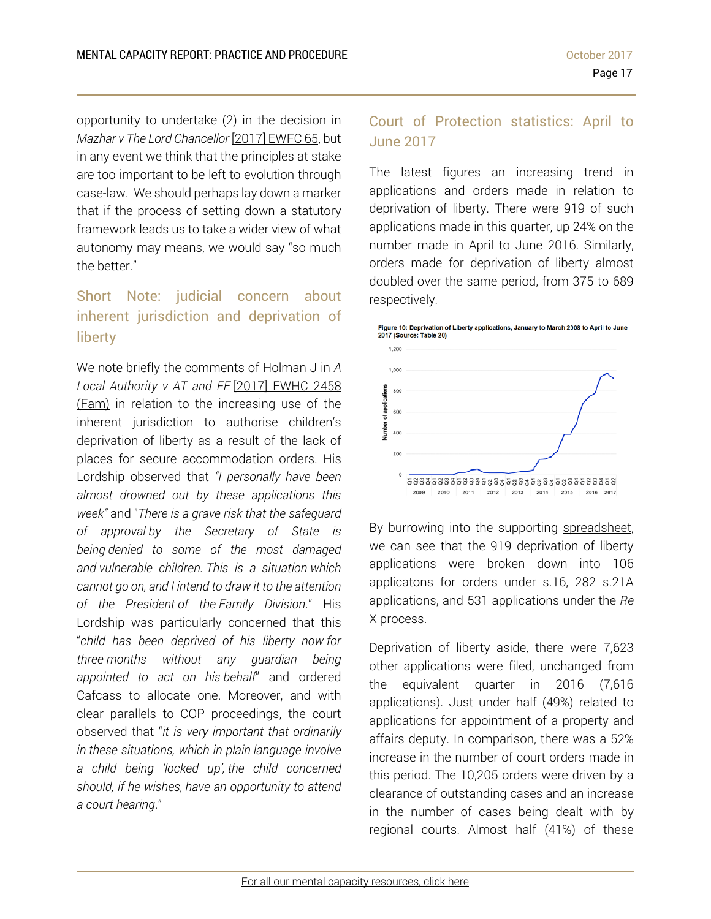opportunity to undertake (2) in the decision in *Mazhar v The Lord Chancellor* [2017] EWFC 65, but in any event we think that the principles at stake are too important to be left to evolution through case-law. We should perhaps lay down a marker that if the process of setting down a statutory framework leads us to take a wider view of what autonomy may means, we would say "so much the better."

# Short Note: judicial concern about inherent jurisdiction and deprivation of liberty

We note briefly the comments of Holman J in *A Local Authority v AT and FE* [2017] EWHC 2458 (Fam) in relation to the increasing use of the inherent jurisdiction to authorise children's deprivation of liberty as a result of the lack of places for secure accommodation orders. His Lordship observed that *"I personally have been almost drowned out by these applications this week"* and "*There is a grave risk that the safeguard of approval by the Secretary of State is being denied to some of the most damaged and vulnerable children. This is a situation which cannot go on, and I intend to draw it to the attention of the President of the Family Division*." His Lordship was particularly concerned that this "*child has been deprived of his liberty now for three months without any guardian being appointed to act on his behalf*" and ordered Cafcass to allocate one. Moreover, and with clear parallels to COP proceedings, the court observed that "*it is very important that ordinarily in these situations, which in plain language involve a child being 'locked up', the child concerned should, if he wishes, have an opportunity to attend a court hearing*."

# Court of Protection statistics: April to June 2017

The latest figures an increasing trend in applications and orders made in relation to deprivation of liberty. There were 919 of such applications made in this quarter, up 24% on the number made in April to June 2016. Similarly, orders made for deprivation of liberty almost doubled over the same period, from 375 to 689 respectively.



By burrowing into the supporting spreadsheet, we can see that the 919 deprivation of liberty applications were broken down into 106 applicatons for orders under s.16, 282 s.21A applications, and 531 applications under the *Re*  X process.

Deprivation of liberty aside, there were 7,623 other applications were filed, unchanged from the equivalent quarter in 2016 (7,616 applications). Just under half (49%) related to applications for appointment of a property and affairs deputy. In comparison, there was a 52% increase in the number of court orders made in this period. The 10,205 orders were driven by a clearance of outstanding cases and an increase in the number of cases being dealt with by regional courts. Almost half (41%) of these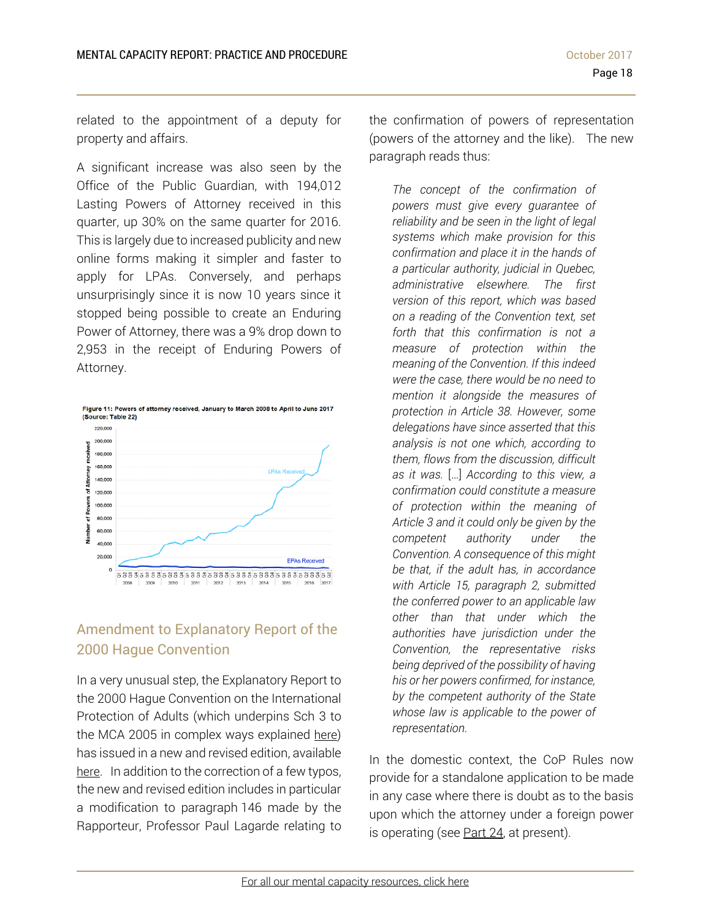related to the appointment of a deputy for property and affairs.

A significant increase was also seen by the Office of the Public Guardian, with 194,012 Lasting Powers of Attorney received in this quarter, up 30% on the same quarter for 2016. This is largely due to increased publicity and new online forms making it simpler and faster to apply for LPAs. Conversely, and perhaps unsurprisingly since it is now 10 years since it stopped being possible to create an Enduring Power of Attorney, there was a 9% drop down to 2,953 in the receipt of Enduring Powers of Attorney.



# Amendment to Explanatory Report of the 2000 Hague Convention

In a very unusual step, the Explanatory Report to the 2000 Hague Convention on the International Protection of Adults (which underpins Sch 3 to the MCA 2005 in complex ways explained here) has issued in a new and revised edition, available here. In addition to the correction of a few typos, the new and revised edition includes in particular a modification to paragraph 146 made by the Rapporteur, Professor Paul Lagarde relating to the confirmation of powers of representation (powers of the attorney and the like). The new paragraph reads thus:

*The concept of the confirmation of powers must give every guarantee of reliability and be seen in the light of legal systems which make provision for this confirmation and place it in the hands of a particular authority, judicial in Quebec, administrative elsewhere. The first version of this report, which was based on a reading of the Convention text, set forth that this confirmation is not a measure of protection within the meaning of the Convention. If this indeed were the case, there would be no need to mention it alongside the measures of protection in Article 38. However, some delegations have since asserted that this analysis is not one which, according to them, flows from the discussion, difficult as it was.* […] *According to this view, a confirmation could constitute a measure of protection within the meaning of Article 3 and it could only be given by the competent authority under the Convention. A consequence of this might be that, if the adult has, in accordance with Article 15, paragraph 2, submitted the conferred power to an applicable law other than that under which the authorities have jurisdiction under the Convention, the representative risks being deprived of the possibility of having his or her powers confirmed, for instance, by the competent authority of the State whose law is applicable to the power of representation.* 

In the domestic context, the CoP Rules now provide for a standalone application to be made in any case where there is doubt as to the basis upon which the attorney under a foreign power is operating (see Part 24, at present).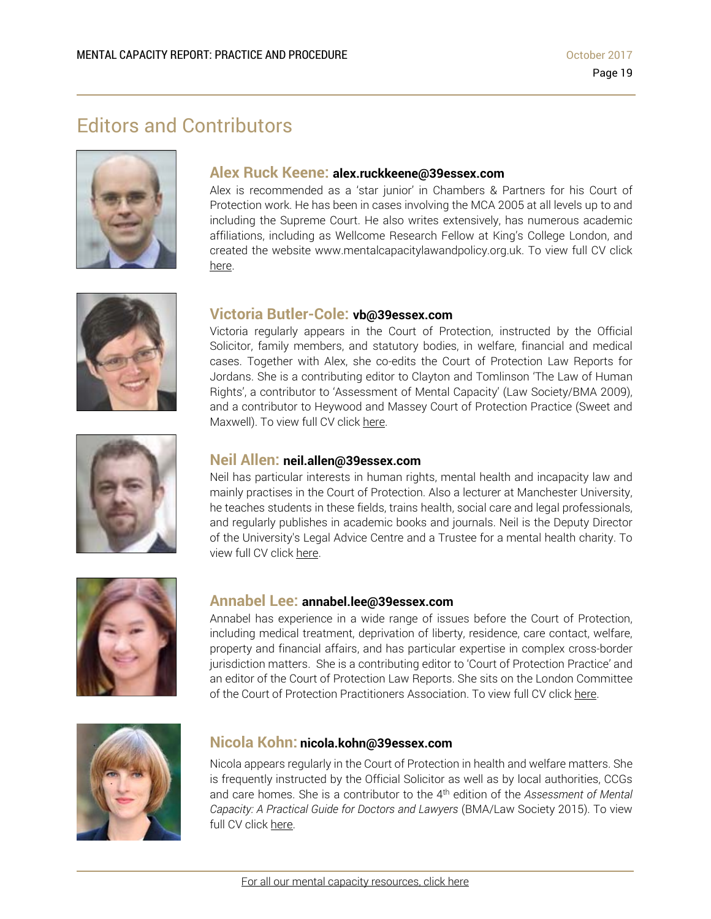# Editors and Contributors





Alex is recommended as a 'star junior' in Chambers & Partners for his Court of Protection work. He has been in cases involving the MCA 2005 at all levels up to and including the Supreme Court. He also writes extensively, has numerous academic affiliations, including as Wellcome Research Fellow at King's College London, and created the website www.mentalcapacitylawandpolicy.org.uk. To view full CV click here.



# **Victoria Butler-Cole: vb@39essex.com**

Victoria regularly appears in the Court of Protection, instructed by the Official Solicitor, family members, and statutory bodies, in welfare, financial and medical cases. Together with Alex, she co-edits the Court of Protection Law Reports for Jordans. She is a contributing editor to Clayton and Tomlinson 'The Law of Human Rights', a contributor to 'Assessment of Mental Capacity' (Law Society/BMA 2009), and a contributor to Heywood and Massey Court of Protection Practice (Sweet and Maxwell). To view full CV click here.



## **Neil Allen: neil.allen@39essex.com**

Neil has particular interests in human rights, mental health and incapacity law and mainly practises in the Court of Protection. Also a lecturer at Manchester University, he teaches students in these fields, trains health, social care and legal professionals, and regularly publishes in academic books and journals. Neil is the Deputy Director of the University's Legal Advice Centre and a Trustee for a mental health charity. To view full CV click here.



#### **Annabel Lee: annabel.lee@39essex.com**

Annabel has experience in a wide range of issues before the Court of Protection, including medical treatment, deprivation of liberty, residence, care contact, welfare, property and financial affairs, and has particular expertise in complex cross-border jurisdiction matters. She is a contributing editor to 'Court of Protection Practice' and an editor of the Court of Protection Law Reports. She sits on the London Committee of the Court of Protection Practitioners Association. To view full CV click here.



## **Nicola Kohn: nicola.kohn@39essex.com**

Nicola appears regularly in the Court of Protection in health and welfare matters. She is frequently instructed by the Official Solicitor as well as by local authorities, CCGs and care homes. She is a contributor to the 4th edition of the *Assessment of Mental Capacity: A Practical Guide for Doctors and Lawyers* (BMA/Law Society 2015). To view full CV click here.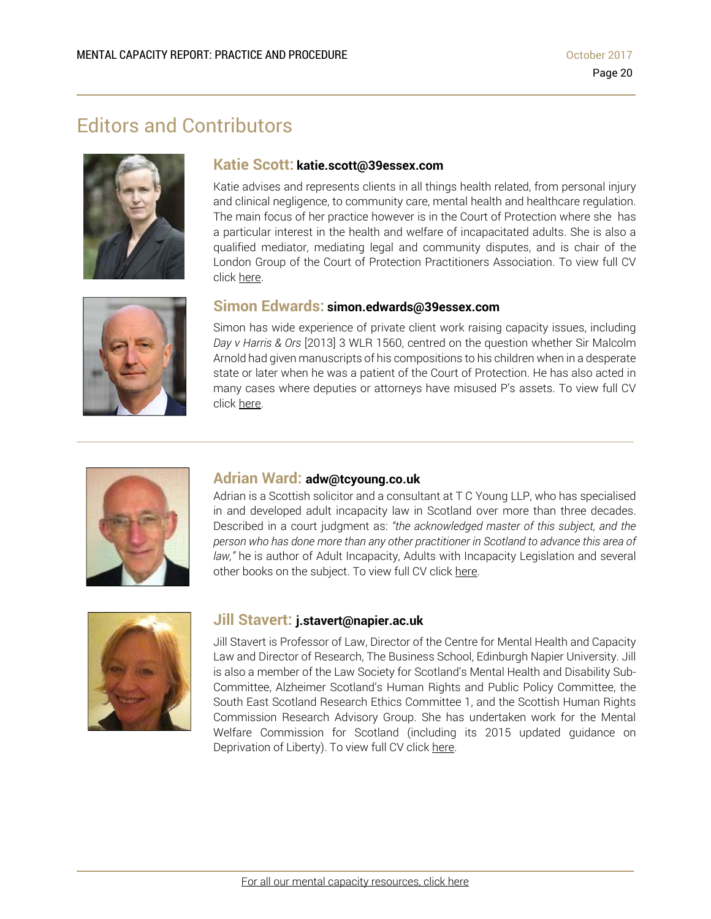# Editors and Contributors



## **Katie Scott: katie.scott@39essex.com**

Katie advises and represents clients in all things health related, from personal injury and clinical negligence, to community care, mental health and healthcare regulation. The main focus of her practice however is in the Court of Protection where she has a particular interest in the health and welfare of incapacitated adults. She is also a qualified mediator, mediating legal and community disputes, and is chair of the London Group of the Court of Protection Practitioners Association. To view full CV click here.



## **Simon Edwards: simon.edwards@39essex.com**

Simon has wide experience of private client work raising capacity issues, including *Day v Harris & Ors* [2013] 3 WLR 1560, centred on the question whether Sir Malcolm Arnold had given manuscripts of his compositions to his children when in a desperate state or later when he was a patient of the Court of Protection. He has also acted in many cases where deputies or attorneys have misused P's assets. To view full CV click here.



#### **Adrian Ward: adw@tcyoung.co.uk**

Adrian is a Scottish solicitor and a consultant at T C Young LLP, who has specialised in and developed adult incapacity law in Scotland over more than three decades. Described in a court judgment as: *"the acknowledged master of this subject, and the person who has done more than any other practitioner in Scotland to advance this area of law,"* he is author of Adult Incapacity, Adults with Incapacity Legislation and several other books on the subject. To view full CV click here.



### **Jill Stavert: j.stavert@napier.ac.uk**

Jill Stavert is Professor of Law, Director of the Centre for Mental Health and Capacity Law and Director of Research, The Business School, Edinburgh Napier University. Jill is also a member of the Law Society for Scotland's Mental Health and Disability Sub-Committee, Alzheimer Scotland's Human Rights and Public Policy Committee, the South East Scotland Research Ethics Committee 1, and the Scottish Human Rights Commission Research Advisory Group. She has undertaken work for the Mental Welfare Commission for Scotland (including its 2015 updated guidance on Deprivation of Liberty). To view full CV click here.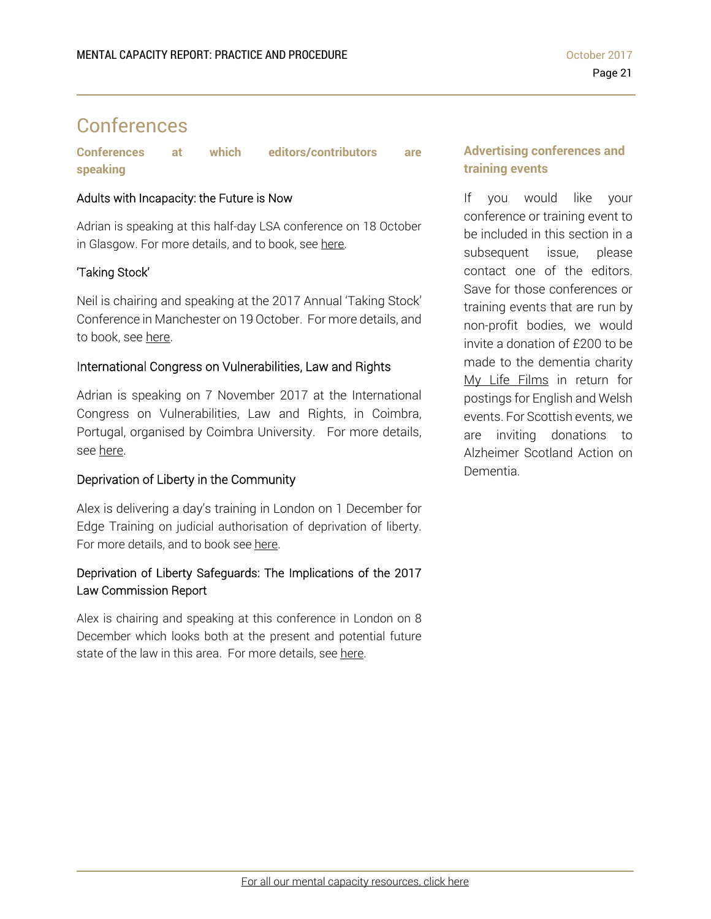# Conferences

**Conferences at which editors/contributors are speaking** 

## Adults with Incapacity: the Future is Now

Adrian is speaking at this half-day LSA conference on 18 October in Glasgow. For more details, and to book, see here.

# 'Taking Stock'

Neil is chairing and speaking at the 2017 Annual 'Taking Stock' Conference in Manchester on 19 October. For more details, and to book, see here.

# International Congress on Vulnerabilities, Law and Rights

Adrian is speaking on 7 November 2017 at the International Congress on Vulnerabilities, Law and Rights, in Coimbra, Portugal, organised by Coimbra University. For more details, see here.

# Deprivation of Liberty in the Community

Alex is delivering a day's training in London on 1 December for Edge Training on judicial authorisation of deprivation of liberty. For more details, and to book see here.

# Deprivation of Liberty Safeguards: The Implications of the 2017 Law Commission Report

Alex is chairing and speaking at this conference in London on 8 December which looks both at the present and potential future state of the law in this area. For more details, see here.

# **Advertising conferences and training events**

If you would like your conference or training event to be included in this section in a subsequent issue, please contact one of the editors. Save for those conferences or training events that are run by non-profit bodies, we would invite a donation of £200 to be made to the dementia charity My Life Films in return for postings for English and Welsh events. For Scottish events, we are inviting donations to Alzheimer Scotland Action on Dementia.